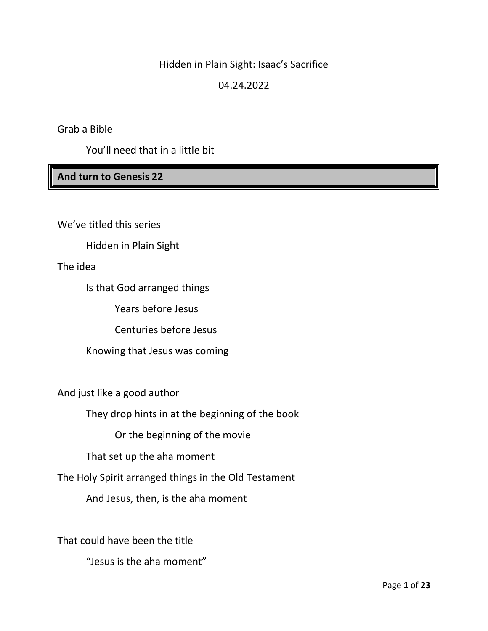#### Hidden in Plain Sight: Isaac's Sacrifice

#### 04.24.2022

Grab a Bible

You'll need that in a little bit

#### **And turn to Genesis 22**

We've titled this series

Hidden in Plain Sight

The idea

Is that God arranged things

Years before Jesus

Centuries before Jesus

Knowing that Jesus was coming

And just like a good author

They drop hints in at the beginning of the book

Or the beginning of the movie

That set up the aha moment

The Holy Spirit arranged things in the Old Testament

And Jesus, then, is the aha moment

That could have been the title

"Jesus is the aha moment"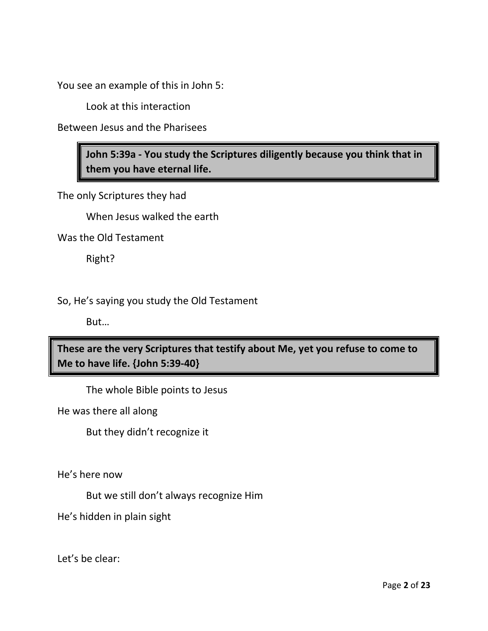You see an example of this in John 5:

Look at this interaction

Between Jesus and the Pharisees

**John 5:39a - You study the Scriptures diligently because you think that in them you have eternal life.**

The only Scriptures they had

When Jesus walked the earth

Was the Old Testament

Right?

So, He's saying you study the Old Testament

But…

**These are the very Scriptures that testify about Me, yet you refuse to come to Me to have life. {John 5:39-40}**

The whole Bible points to Jesus

He was there all along

But they didn't recognize it

He's here now

But we still don't always recognize Him

He's hidden in plain sight

Let's be clear: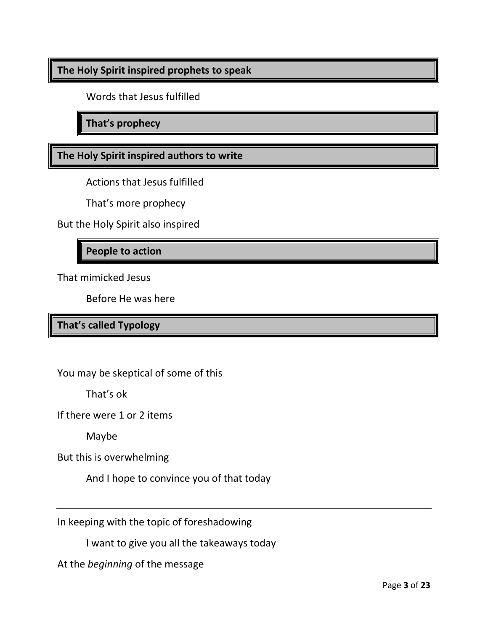#### **The Holy Spirit inspired prophets to speak**

Words that Jesus fulfilled

**That's prophecy**

**The Holy Spirit inspired authors to write**

Actions that Jesus fulfilled

That's more prophecy

But the Holy Spirit also inspired

#### **People to action**

That mimicked Jesus

Before He was here

#### **That's called Typology**

You may be skeptical of some of this

That's ok

If there were 1 or 2 items

Maybe

But this is overwhelming

And I hope to convince you of that today

In keeping with the topic of foreshadowing

I want to give you all the takeaways today

At the *beginning* of the message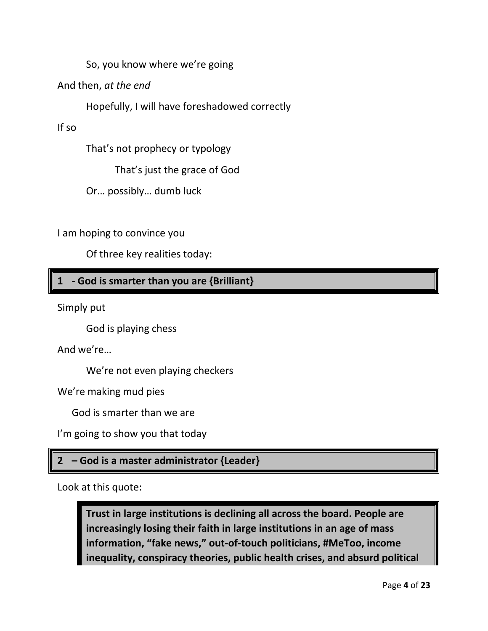So, you know where we're going

And then, *at the end*

Hopefully, I will have foreshadowed correctly

If so

That's not prophecy or typology

That's just the grace of God

Or… possibly… dumb luck

I am hoping to convince you

Of three key realities today:

### **1 - God is smarter than you are {Brilliant}**

Simply put

God is playing chess

And we're…

We're not even playing checkers

We're making mud pies

God is smarter than we are

I'm going to show you that today

### **2 – God is a master administrator {Leader}**

Look at this quote:

**Trust in large institutions is declining all across the board. People are increasingly losing their faith in large institutions in an age of mass information, "fake news," out-of-touch politicians, #MeToo, income inequality, conspiracy theories, public health crises, and absurd political**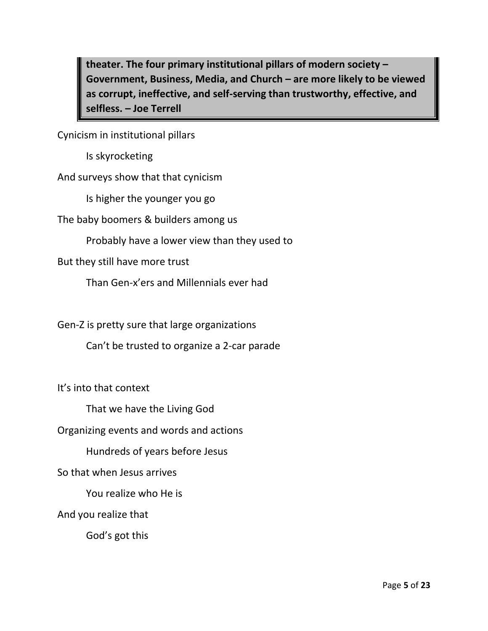**theater. The four primary institutional pillars of modern society – Government, Business, Media, and Church – are more likely to be viewed as corrupt, ineffective, and self-serving than trustworthy, effective, and selfless. – Joe Terrell**

Cynicism in institutional pillars

Is skyrocketing

And surveys show that that cynicism

Is higher the younger you go

The baby boomers & builders among us

Probably have a lower view than they used to

But they still have more trust

Than Gen-x'ers and Millennials ever had

Gen-Z is pretty sure that large organizations

Can't be trusted to organize a 2-car parade

It's into that context

That we have the Living God

Organizing events and words and actions

Hundreds of years before Jesus

So that when Jesus arrives

You realize who He is

And you realize that

God's got this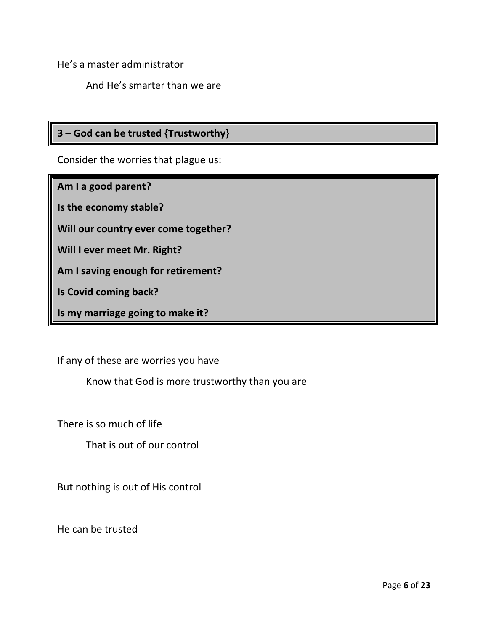He's a master administrator

And He's smarter than we are

# **3 – God can be trusted {Trustworthy}**

Consider the worries that plague us:

**Am I a good parent?**

**Is the economy stable?**

**Will our country ever come together?**

**Will I ever meet Mr. Right?**

**Am I saving enough for retirement?**

**Is Covid coming back?**

**Is my marriage going to make it?**

If any of these are worries you have

Know that God is more trustworthy than you are

There is so much of life

That is out of our control

But nothing is out of His control

He can be trusted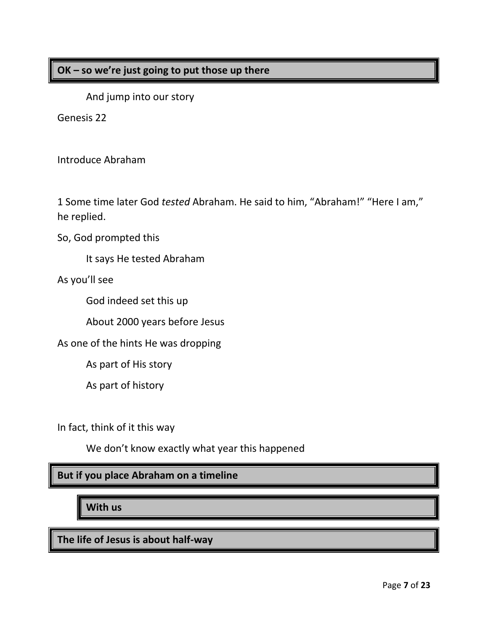#### **OK – so we're just going to put those up there**

And jump into our story

Genesis 22

Introduce Abraham

1 Some time later God *tested* Abraham. He said to him, "Abraham!" "Here I am," he replied.

So, God prompted this

It says He tested Abraham

As you'll see

God indeed set this up

About 2000 years before Jesus

As one of the hints He was dropping

As part of His story

As part of history

In fact, think of it this way

We don't know exactly what year this happened

#### **But if you place Abraham on a timeline**

**With us**

**The life of Jesus is about half-way**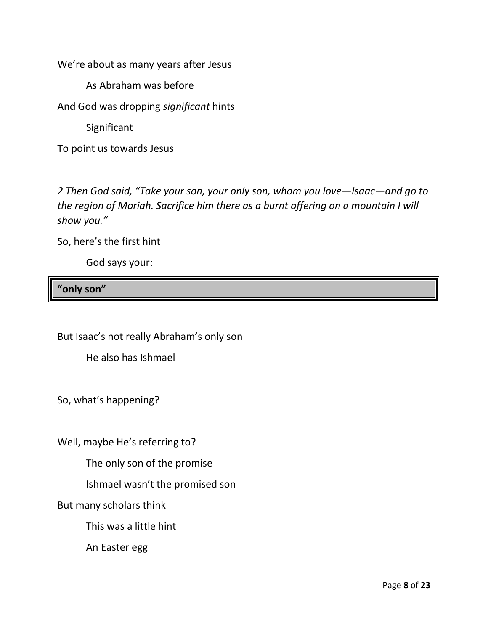We're about as many years after Jesus

As Abraham was before

And God was dropping *significant* hints

Significant

To point us towards Jesus

*2 Then God said, "Take your son, your only son, whom you love—Isaac—and go to the region of Moriah. Sacrifice him there as a burnt offering on a mountain I will show you."*

So, here's the first hint

God says your:

## **"only son"**

But Isaac's not really Abraham's only son

He also has Ishmael

So, what's happening?

Well, maybe He's referring to?

The only son of the promise

Ishmael wasn't the promised son

But many scholars think

This was a little hint

An Easter egg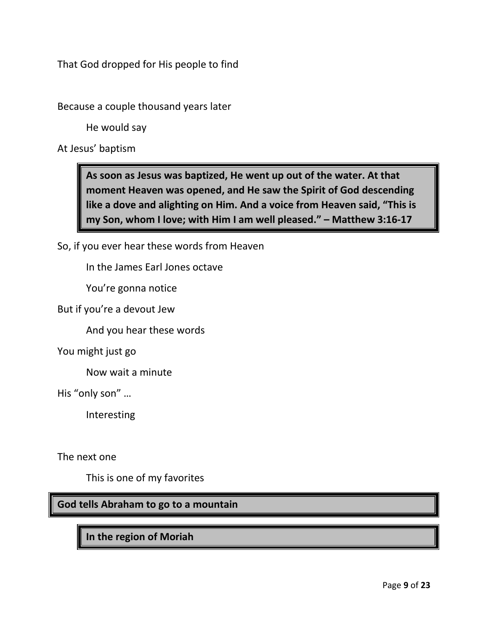That God dropped for His people to find

Because a couple thousand years later

He would say

At Jesus' baptism

**As soon as Jesus was baptized, He went up out of the water. At that moment Heaven was opened, and He saw the Spirit of God descending like a dove and alighting on Him. And a voice from Heaven said, "This is my Son, whom I love; with Him I am well pleased." – Matthew 3:16-17**

So, if you ever hear these words from Heaven

In the James Earl Jones octave

You're gonna notice

But if you're a devout Jew

And you hear these words

You might just go

Now wait a minute

His "only son" …

Interesting

The next one

This is one of my favorites

**God tells Abraham to go to a mountain**

**In the region of Moriah**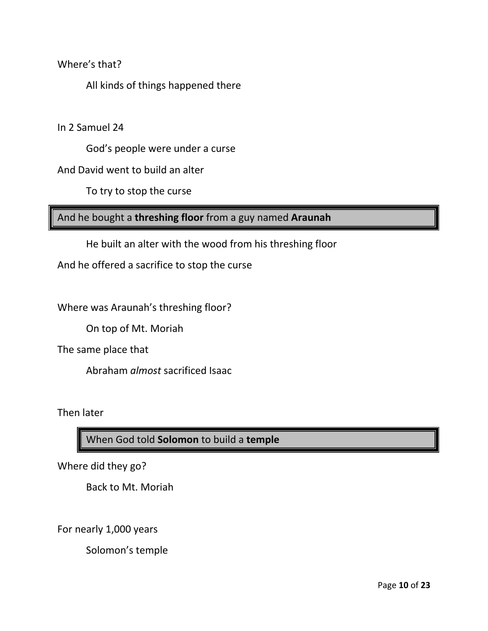Where's that?

All kinds of things happened there

In 2 Samuel 24

God's people were under a curse

And David went to build an alter

To try to stop the curse

And he bought a **threshing floor** from a guy named **Araunah**

He built an alter with the wood from his threshing floor

And he offered a sacrifice to stop the curse

Where was Araunah's threshing floor?

On top of Mt. Moriah

The same place that

Abraham *almost* sacrificed Isaac

Then later

When God told **Solomon** to build a **temple**

Where did they go?

Back to Mt. Moriah

For nearly 1,000 years

Solomon's temple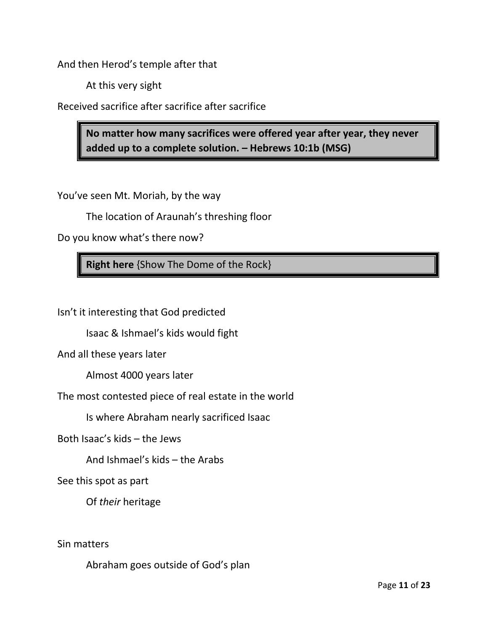And then Herod's temple after that

At this very sight

Received sacrifice after sacrifice after sacrifice

**No matter how many sacrifices were offered year after year, they never added up to a complete solution. – Hebrews 10:1b (MSG)**

You've seen Mt. Moriah, by the way

The location of Araunah's threshing floor

Do you know what's there now?

**Right here** {Show The Dome of the Rock}

Isn't it interesting that God predicted

Isaac & Ishmael's kids would fight

And all these years later

Almost 4000 years later

The most contested piece of real estate in the world

Is where Abraham nearly sacrificed Isaac

Both Isaac's kids – the Jews

And Ishmael's kids – the Arabs

See this spot as part

Of *their* heritage

Sin matters

Abraham goes outside of God's plan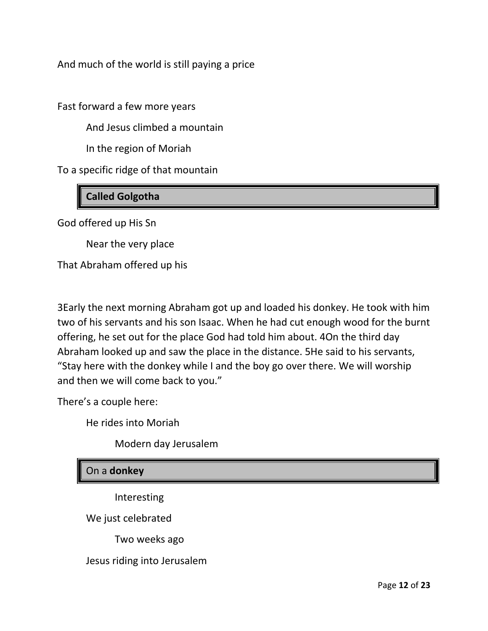And much of the world is still paying a price

Fast forward a few more years

And Jesus climbed a mountain

In the region of Moriah

To a specific ridge of that mountain

# **Called Golgotha**

God offered up His Sn

Near the very place

That Abraham offered up his

3Early the next morning Abraham got up and loaded his donkey. He took with him two of his servants and his son Isaac. When he had cut enough wood for the burnt offering, he set out for the place God had told him about. 4On the third day Abraham looked up and saw the place in the distance. 5He said to his servants, "Stay here with the donkey while I and the boy go over there. We will worship and then we will come back to you."

There's a couple here:

He rides into Moriah

Modern day Jerusalem

#### On a **donkey**

Interesting

We just celebrated

Two weeks ago

Jesus riding into Jerusalem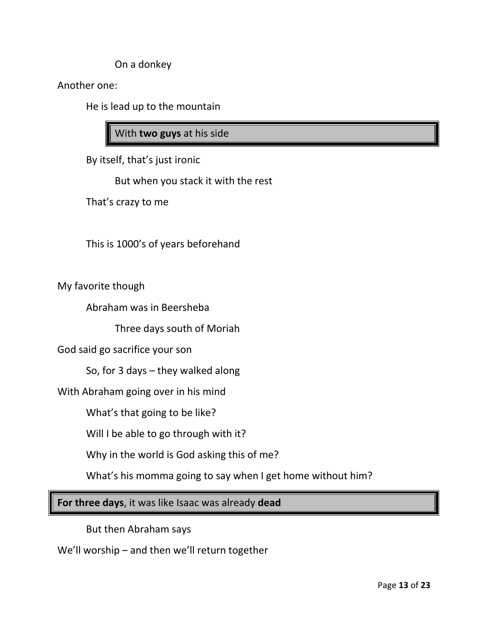On a donkey

Another one:

He is lead up to the mountain

With **two guys** at his side

By itself, that's just ironic

But when you stack it with the rest

That's crazy to me

This is 1000's of years beforehand

My favorite though

Abraham was in Beersheba

Three days south of Moriah

God said go sacrifice your son

So, for 3 days – they walked along

With Abraham going over in his mind

What's that going to be like?

Will I be able to go through with it?

Why in the world is God asking this of me?

What's his momma going to say when I get home without him?

**For three days**, it was like Isaac was already **dead**

But then Abraham says

We'll worship – and then we'll return together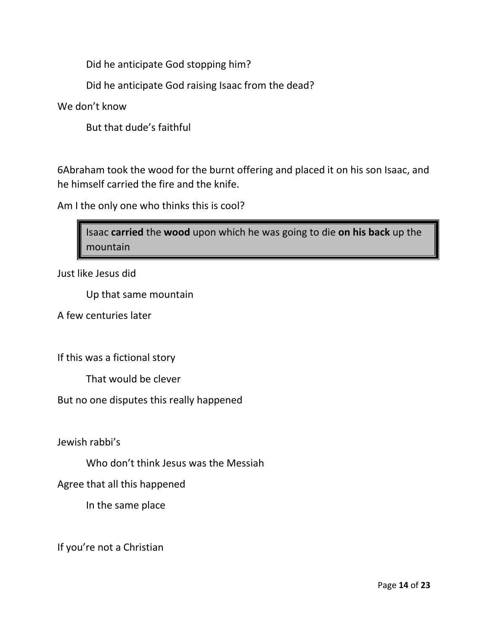Did he anticipate God stopping him?

Did he anticipate God raising Isaac from the dead?

We don't know

But that dude's faithful

6Abraham took the wood for the burnt offering and placed it on his son Isaac, and he himself carried the fire and the knife.

Am I the only one who thinks this is cool?

Isaac **carried** the **wood** upon which he was going to die **on his back** up the mountain

Just like Jesus did

Up that same mountain

A few centuries later

If this was a fictional story

That would be clever

But no one disputes this really happened

Jewish rabbi's

Who don't think Jesus was the Messiah

Agree that all this happened

In the same place

If you're not a Christian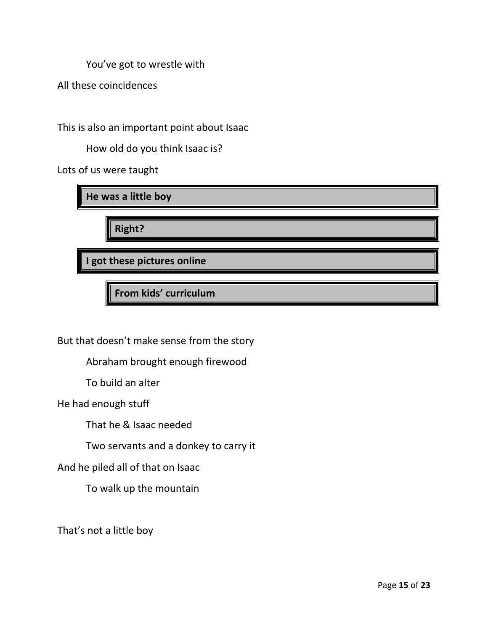You've got to wrestle with

All these coincidences

This is also an important point about Isaac

How old do you think Isaac is?

Lots of us were taught

**He was a little boy**

**Right?**

**I got these pictures online**

**From kids' curriculum**

But that doesn't make sense from the story

Abraham brought enough firewood

To build an alter

He had enough stuff

That he & Isaac needed

Two servants and a donkey to carry it

And he piled all of that on Isaac

To walk up the mountain

That's not a little boy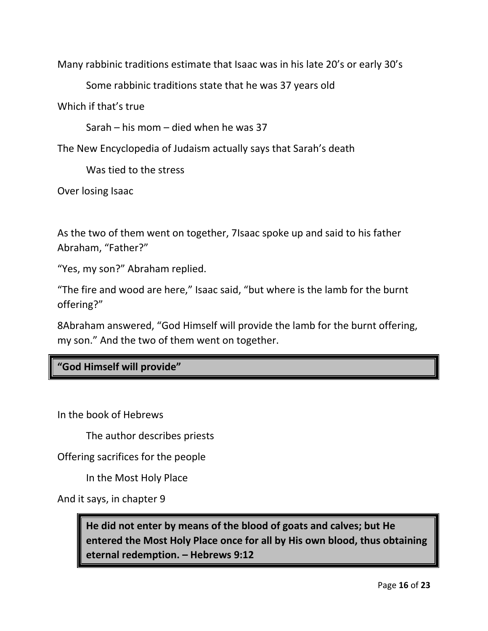Many rabbinic traditions estimate that Isaac was in his late 20's or early 30's

Some rabbinic traditions state that he was 37 years old

Which if that's true

Sarah – his mom – died when he was 37

The New Encyclopedia of Judaism actually says that Sarah's death

Was tied to the stress

Over losing Isaac

As the two of them went on together, 7Isaac spoke up and said to his father Abraham, "Father?"

"Yes, my son?" Abraham replied.

"The fire and wood are here," Isaac said, "but where is the lamb for the burnt offering?"

8Abraham answered, "God Himself will provide the lamb for the burnt offering, my son." And the two of them went on together.

## **"God Himself will provide"**

In the book of Hebrews

The author describes priests

Offering sacrifices for the people

In the Most Holy Place

And it says, in chapter 9

**He did not enter by means of the blood of goats and calves; but He entered the Most Holy Place once for all by His own blood, thus obtaining eternal redemption. – Hebrews 9:12**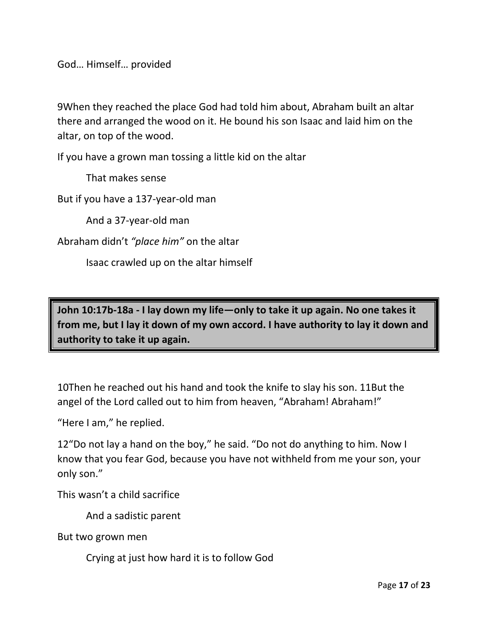God… Himself… provided

9When they reached the place God had told him about, Abraham built an altar there and arranged the wood on it. He bound his son Isaac and laid him on the altar, on top of the wood.

If you have a grown man tossing a little kid on the altar

That makes sense

But if you have a 137-year-old man

And a 37-year-old man

Abraham didn't *"place him"* on the altar

Isaac crawled up on the altar himself

**John 10:17b-18a - I lay down my life—only to take it up again. No one takes it from me, but I lay it down of my own accord. I have authority to lay it down and authority to take it up again.**

10Then he reached out his hand and took the knife to slay his son. 11But the angel of the Lord called out to him from heaven, "Abraham! Abraham!"

"Here I am," he replied.

12"Do not lay a hand on the boy," he said. "Do not do anything to him. Now I know that you fear God, because you have not withheld from me your son, your only son."

This wasn't a child sacrifice

And a sadistic parent

But two grown men

Crying at just how hard it is to follow God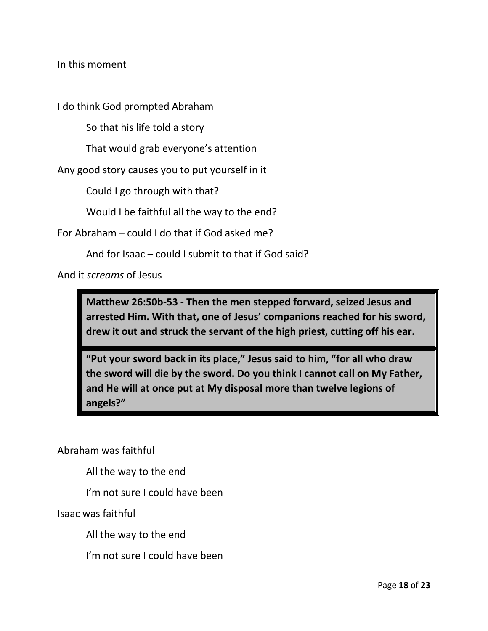In this moment

I do think God prompted Abraham

So that his life told a story

That would grab everyone's attention

Any good story causes you to put yourself in it

Could I go through with that?

Would I be faithful all the way to the end?

For Abraham – could I do that if God asked me?

And for Isaac – could I submit to that if God said?

And it *screams* of Jesus

**Matthew 26:50b-53 - Then the men stepped forward, seized Jesus and arrested Him. With that, one of Jesus' companions reached for his sword, drew it out and struck the servant of the high priest, cutting off his ear.** 

**"Put your sword back in its place," Jesus said to him, "for all who draw the sword will die by the sword. Do you think I cannot call on My Father, and He will at once put at My disposal more than twelve legions of angels?"**

Abraham was faithful

All the way to the end

I'm not sure I could have been

Isaac was faithful

All the way to the end

I'm not sure I could have been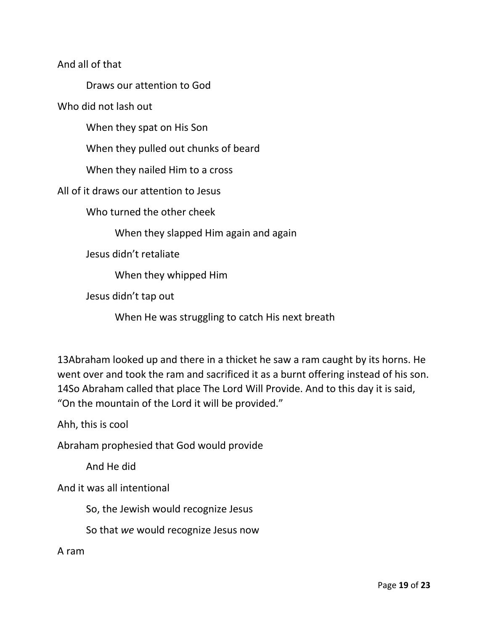And all of that

Draws our attention to God

Who did not lash out

When they spat on His Son

When they pulled out chunks of beard

When they nailed Him to a cross

All of it draws our attention to Jesus

Who turned the other cheek

When they slapped Him again and again

Jesus didn't retaliate

When they whipped Him

Jesus didn't tap out

When He was struggling to catch His next breath

13Abraham looked up and there in a thicket he saw a ram caught by its horns. He went over and took the ram and sacrificed it as a burnt offering instead of his son. 14So Abraham called that place The Lord Will Provide. And to this day it is said, "On the mountain of the Lord it will be provided."

Ahh, this is cool

Abraham prophesied that God would provide

And He did

And it was all intentional

So, the Jewish would recognize Jesus

So that *we* would recognize Jesus now

A ram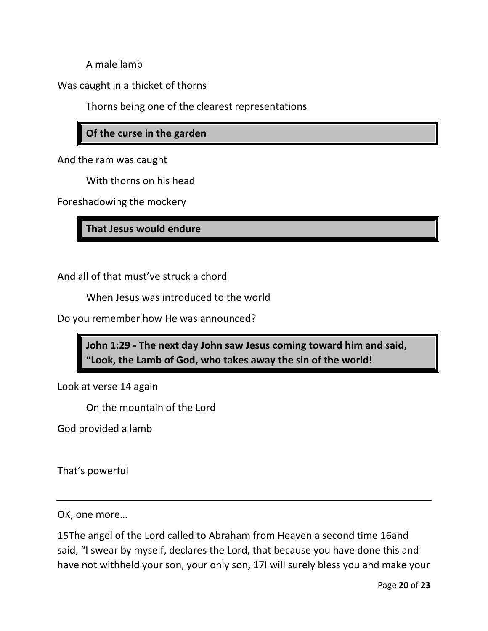A male lamb

Was caught in a thicket of thorns

Thorns being one of the clearest representations

#### **Of the curse in the garden**

And the ram was caught

With thorns on his head

Foreshadowing the mockery

**That Jesus would endure**

And all of that must've struck a chord

When Jesus was introduced to the world

Do you remember how He was announced?

**John 1:29 - The next day John saw Jesus coming toward him and said, "Look, the Lamb of God, who takes away the sin of the world!**

Look at verse 14 again

On the mountain of the Lord

God provided a lamb

That's powerful

OK, one more…

15The angel of the Lord called to Abraham from Heaven a second time 16and said, "I swear by myself, declares the Lord, that because you have done this and have not withheld your son, your only son, 17I will surely bless you and make your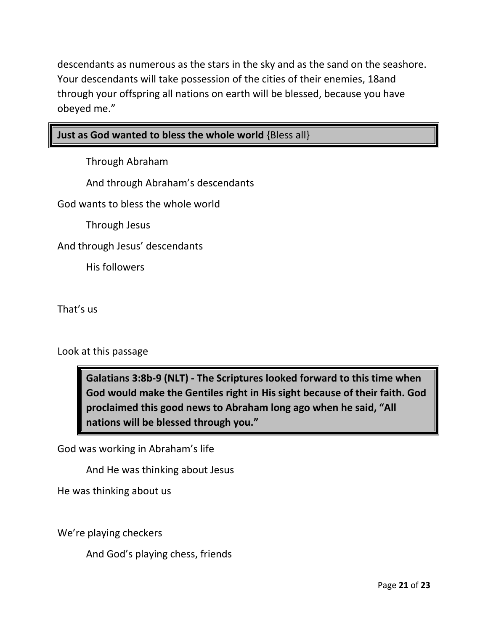descendants as numerous as the stars in the sky and as the sand on the seashore. Your descendants will take possession of the cities of their enemies, 18and through your offspring all nations on earth will be blessed, because you have obeyed me."

#### **Just as God wanted to bless the whole world** {Bless all}

Through Abraham

And through Abraham's descendants

God wants to bless the whole world

Through Jesus

And through Jesus' descendants

His followers

That's us

Look at this passage

**Galatians 3:8b-9 (NLT) - The Scriptures looked forward to this time when God would make the Gentiles right in His sight because of their faith. God proclaimed this good news to Abraham long ago when he said, "All nations will be blessed through you."** 

God was working in Abraham's life

And He was thinking about Jesus

He was thinking about us

We're playing checkers

And God's playing chess, friends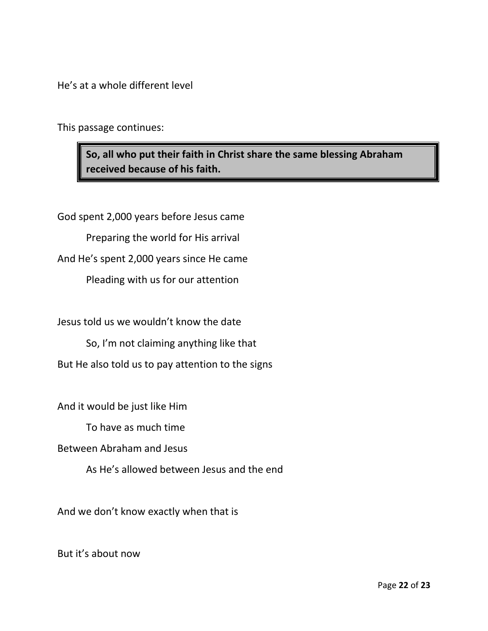He's at a whole different level

This passage continues:

**So, all who put their faith in Christ share the same blessing Abraham received because of his faith.**

God spent 2,000 years before Jesus came Preparing the world for His arrival And He's spent 2,000 years since He came Pleading with us for our attention

Jesus told us we wouldn't know the date

So, I'm not claiming anything like that

But He also told us to pay attention to the signs

And it would be just like Him

To have as much time

Between Abraham and Jesus

As He's allowed between Jesus and the end

And we don't know exactly when that is

But it's about now